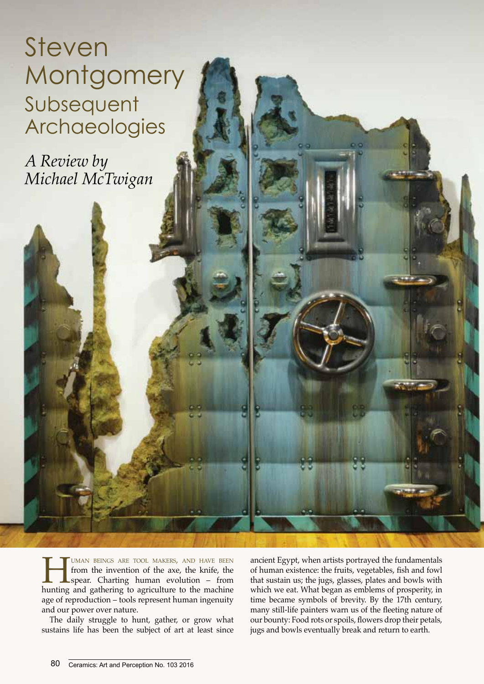Steven **Montgomery** Subsequent Archaeologies

*A Review by Michael McTwigan*

> **HUMAN BEINGS ARE TOOL MAKERS, AND HAVE BEEN**<br>from the invention of the axe, the knife, the<br>spear. Charting human evolution – from<br>hunting and gathering to agriculture to the machine from the invention of the axe, the knife, the spear. Charting human evolution – from hunting and gathering to agriculture to the machine age of reproduction – tools represent human ingenuity and our power over nature.

> The daily struggle to hunt, gather, or grow what sustains life has been the subject of art at least since

ancient Egypt, when artists portrayed the fundamentals of human existence: the fruits, vegetables, fish and fowl that sustain us; the jugs, glasses, plates and bowls with which we eat. What began as emblems of prosperity, in time became symbols of brevity. By the 17th century, many still-life painters warn us of the fleeting nature of our bounty: Food rots or spoils, flowers drop their petals, jugs and bowls eventually break and return to earth.